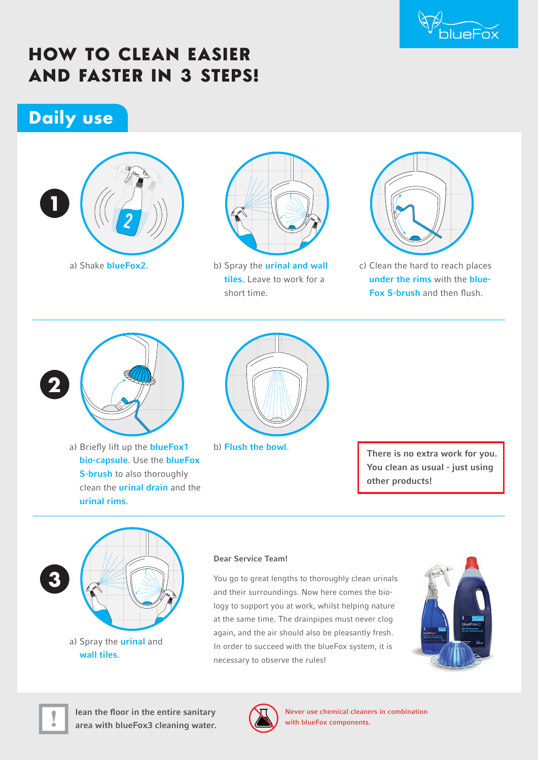

# **HOW TO CLEAN EASIER AND FASTER IN 3 STEPS!**

# **Daily use**





b) Spray the **urinal and wall** tiles. Leave to work for a short time.



c) Clean the hard to reach places under the rims with the blue-Fox S-brush and then flush.



a) Briefly lift up the **blueFox1** bio-capsule. Use the blueFox S-brush to also thoroughly clean the urinal drain and the urinal rims.



b) Flush the bowl.

There is no extra work for you. You clean as usual - just using other products!



#### Dear Service Team!

You go to great lengths to thoroughly clean urinals and their surroundings. Now here comes the biology to support you at work, whilst helping nature at the same time. The drainpipes must never clog again, and the air should also be pleasantly fresh. In order to succeed with the blueFox system, it is necessary to observe the rules!





lean the floor in the entire sanitary area with blueFox3 cleaning water.



Never use chemical cleaners in combination with blueFox components.